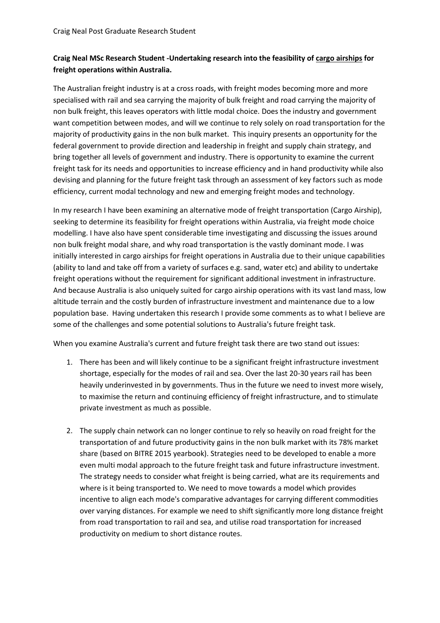## **Craig Neal MSc Research Student -Undertaking research into the feasibility of cargo airships for freight operations within Australia.**

The Australian freight industry is at a cross roads, with freight modes becoming more and more specialised with rail and sea carrying the majority of bulk freight and road carrying the majority of non bulk freight, this leaves operators with little modal choice. Does the industry and government want competition between modes, and will we continue to rely solely on road transportation for the majority of productivity gains in the non bulk market. This inquiry presents an opportunity for the federal government to provide direction and leadership in freight and supply chain strategy, and bring together all levels of government and industry. There is opportunity to examine the current freight task for its needs and opportunities to increase efficiency and in hand productivity while also devising and planning for the future freight task through an assessment of key factors such as mode efficiency, current modal technology and new and emerging freight modes and technology.

In my research I have been examining an alternative mode of freight transportation (Cargo Airship), seeking to determine its feasibility for freight operations within Australia, via freight mode choice modelling. I have also have spent considerable time investigating and discussing the issues around non bulk freight modal share, and why road transportation is the vastly dominant mode. I was initially interested in cargo airships for freight operations in Australia due to their unique capabilities (ability to land and take off from a variety of surfaces e.g. sand, water etc) and ability to undertake freight operations without the requirement for significant additional investment in infrastructure. And because Australia is also uniquely suited for cargo airship operations with its vast land mass, low altitude terrain and the costly burden of infrastructure investment and maintenance due to a low population base. Having undertaken this research I provide some comments as to what I believe are some of the challenges and some potential solutions to Australia's future freight task.

When you examine Australia's current and future freight task there are two stand out issues:

- 1. There has been and will likely continue to be a significant freight infrastructure investment shortage, especially for the modes of rail and sea. Over the last 20-30 years rail has been heavily underinvested in by governments. Thus in the future we need to invest more wisely, to maximise the return and continuing efficiency of freight infrastructure, and to stimulate private investment as much as possible.
- 2. The supply chain network can no longer continue to rely so heavily on road freight for the transportation of and future productivity gains in the non bulk market with its 78% market share (based on BITRE 2015 yearbook). Strategies need to be developed to enable a more even multi modal approach to the future freight task and future infrastructure investment. The strategy needs to consider what freight is being carried, what are its requirements and where is it being transported to. We need to move towards a model which provides incentive to align each mode's comparative advantages for carrying different commodities over varying distances. For example we need to shift significantly more long distance freight from road transportation to rail and sea, and utilise road transportation for increased productivity on medium to short distance routes.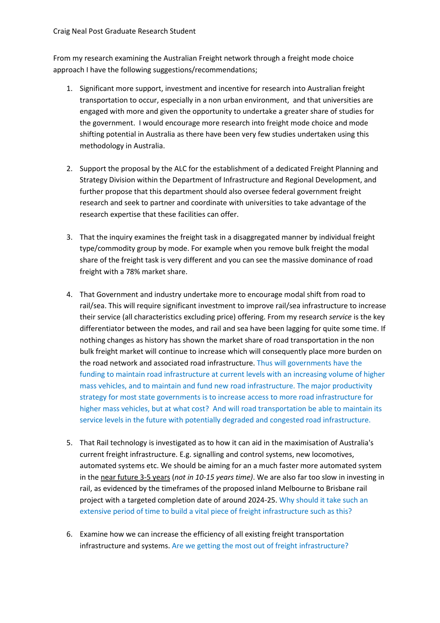From my research examining the Australian Freight network through a freight mode choice approach I have the following suggestions/recommendations;

- 1. Significant more support, investment and incentive for research into Australian freight transportation to occur, especially in a non urban environment, and that universities are engaged with more and given the opportunity to undertake a greater share of studies for the government. I would encourage more research into freight mode choice and mode shifting potential in Australia as there have been very few studies undertaken using this methodology in Australia.
- 2. Support the proposal by the ALC for the establishment of a dedicated Freight Planning and Strategy Division within the Department of Infrastructure and Regional Development, and further propose that this department should also oversee federal government freight research and seek to partner and coordinate with universities to take advantage of the research expertise that these facilities can offer.
- 3. That the inquiry examines the freight task in a disaggregated manner by individual freight type/commodity group by mode. For example when you remove bulk freight the modal share of the freight task is very different and you can see the massive dominance of road freight with a 78% market share.
- 4. That Government and industry undertake more to encourage modal shift from road to rail/sea. This will require significant investment to improve rail/sea infrastructure to increase their service (all characteristics excluding price) offering. From my research *service* is the key differentiator between the modes, and rail and sea have been lagging for quite some time. If nothing changes as history has shown the market share of road transportation in the non bulk freight market will continue to increase which will consequently place more burden on the road network and associated road infrastructure. Thus will governments have the funding to maintain road infrastructure at current levels with an increasing volume of higher mass vehicles, and to maintain and fund new road infrastructure. The major productivity strategy for most state governments is to increase access to more road infrastructure for higher mass vehicles, but at what cost? And will road transportation be able to maintain its service levels in the future with potentially degraded and congested road infrastructure.
- 5. That Rail technology is investigated as to how it can aid in the maximisation of Australia's current freight infrastructure. E.g. signalling and control systems, new locomotives, automated systems etc. We should be aiming for an a much faster more automated system in the near future 3-5 years (*not in 10-15 years time)*. We are also far too slow in investing in rail, as evidenced by the timeframes of the proposed inland Melbourne to Brisbane rail project with a targeted completion date of around 2024-25. Why should it take such an extensive period of time to build a vital piece of freight infrastructure such as this?
- 6. Examine how we can increase the efficiency of all existing freight transportation infrastructure and systems. Are we getting the most out of freight infrastructure?